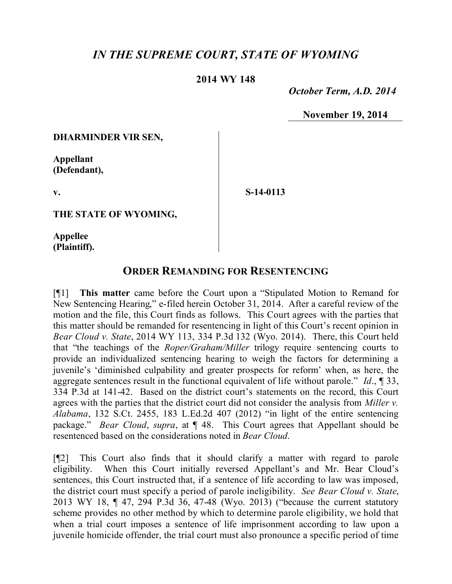## *IN THE SUPREME COURT, STATE OF WYOMING*

## **2014 WY 148**

 *October Term, A.D. 2014*

**November 19, 2014**

**DHARMINDER VIR SEN,**

**Appellant (Defendant),**

**v.**

**S-14-0113**

**THE STATE OF WYOMING,**

**Appellee (Plaintiff).**

## **ORDER REMANDING FOR RESENTENCING**

[¶1] **This matter** came before the Court upon a "Stipulated Motion to Remand for New Sentencing Hearing," e-filed herein October 31, 2014. After a careful review of the motion and the file, this Court finds as follows. This Court agrees with the parties that this matter should be remanded for resentencing in light of this Court's recent opinion in *Bear Cloud v. State*, 2014 WY 113, 334 P.3d 132 (Wyo. 2014). There, this Court held that "the teachings of the *Roper/Graham/Miller* trilogy require sentencing courts to provide an individualized sentencing hearing to weigh the factors for determining a juvenile's 'diminished culpability and greater prospects for reform' when, as here, the aggregate sentences result in the functional equivalent of life without parole." *Id*., ¶ 33, 334 P.3d at 141-42. Based on the district court's statements on the record, this Court agrees with the parties that the district court did not consider the analysis from *Miller v. Alabama*, 132 S.Ct. 2455, 183 L.Ed.2d 407 (2012) "in light of the entire sentencing package." *Bear Cloud*, *supra*, at ¶ 48. This Court agrees that Appellant should be resentenced based on the considerations noted in *Bear Cloud*.

[¶2] This Court also finds that it should clarify a matter with regard to parole eligibility. When this Court initially reversed Appellant's and Mr. Bear Cloud's sentences, this Court instructed that, if a sentence of life according to law was imposed, the district court must specify a period of parole ineligibility. *See Bear Cloud v. State*, 2013 WY 18, ¶ 47, 294 P.3d 36, 47-48 (Wyo. 2013) ("because the current statutory scheme provides no other method by which to determine parole eligibility, we hold that when a trial court imposes a sentence of life imprisonment according to law upon a juvenile homicide offender, the trial court must also pronounce a specific period of time